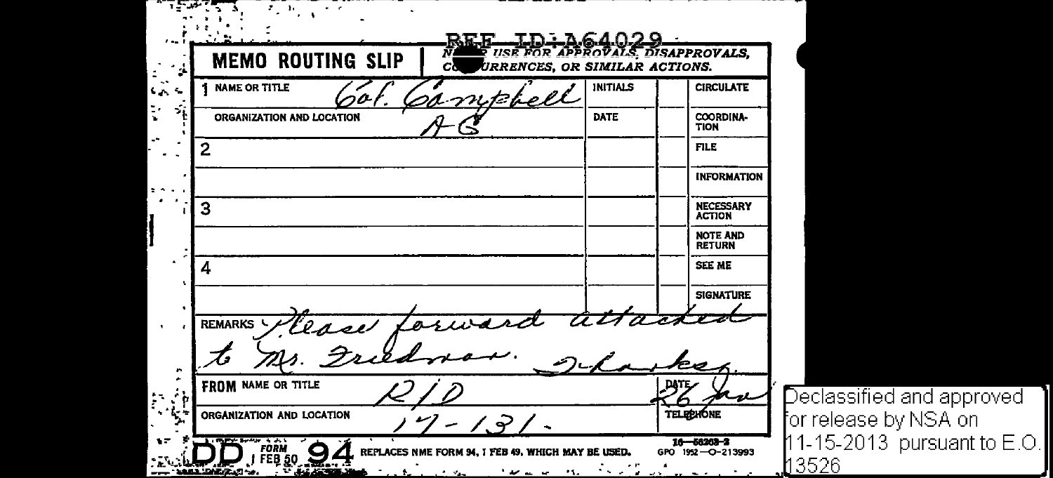.. . . <u>IN 164029</u> **USE FOR APPROVALS DISAPPROVALS. MEMO ROUTING SLIP JRRENCES. OR SIMILAR ACTIONS. NAME OR TITLE** INITIALS **CIRCULATE** s.  $\sim$ ORGANIZATION AND LOCATION DATE COORDINA· TION FILE 2 INFORMATION 3 NECESSARY ACTION NOTE AND RETURN SEE ME 4 SIGNATURE **REMARKS** Clase **FROM** NAME OR TITLE DATE ंत نصد **TELEPHONE** ORGANIZATION AND LOCATION  $7 - 1.71$  $\sum_{\text{J}} \sum_{\text{FEB}}$  50  $16 - 56203 - 2$ **REPLACES NME FORM** GPO 1952-O-213993 **MAY BE USED.** 3526  $-4443$ يمان وأنفر والأنا للداخلة ال 11.

Declassified and approved or release by NSA on <code>11-15-2013 pursuant</code> to E.O.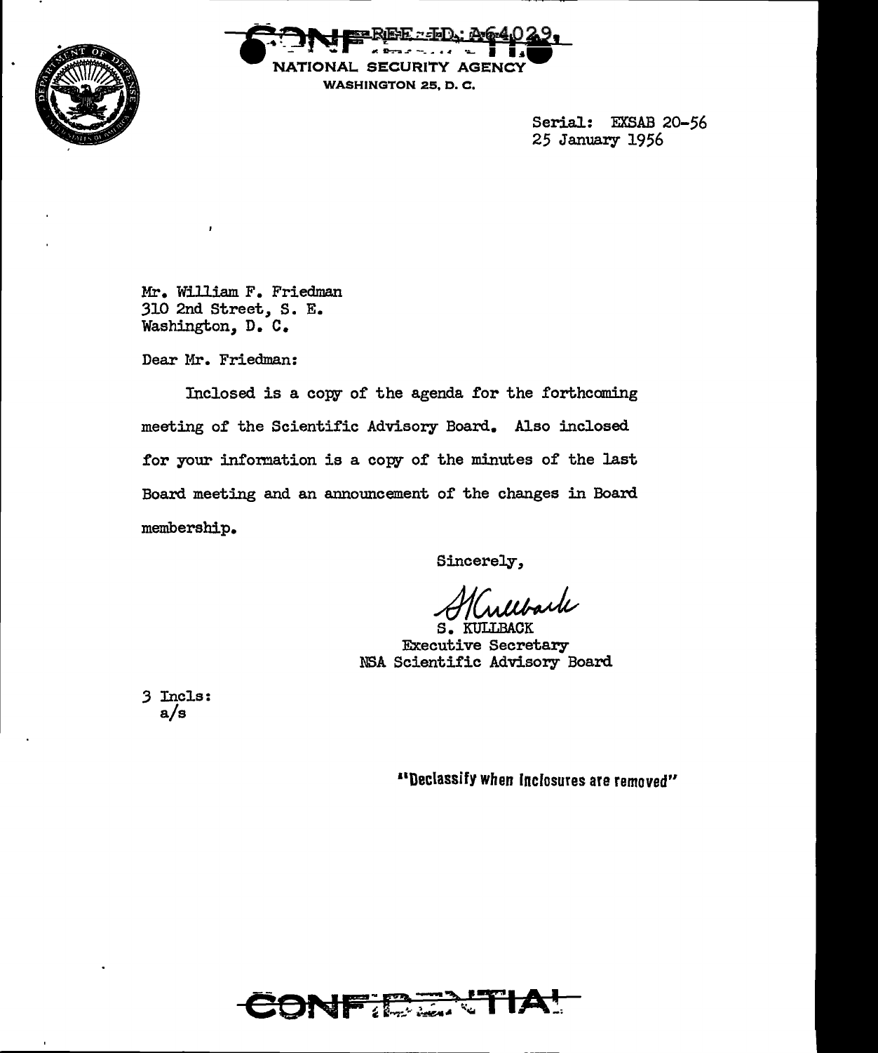



Serial: EXSAB 20-56 25 January 1956

Mr. William F. Friedman 310 2nd Street, S. E. Washington, D. c.

Dear Mr. Friedman:

Inclosed is a copy of the agenda for the forthcoming meeting of the Scientific Advisory Board. Also inclosed. for your information is a copy of the minutes of the last Board meeting and an announcement of the changes in Board membership.

Sincerely,

Mulbark

Executive Secretary NSA Scientific Advisory Board

*3* Incls: a/s

11Declassify when fncfosures are removed"

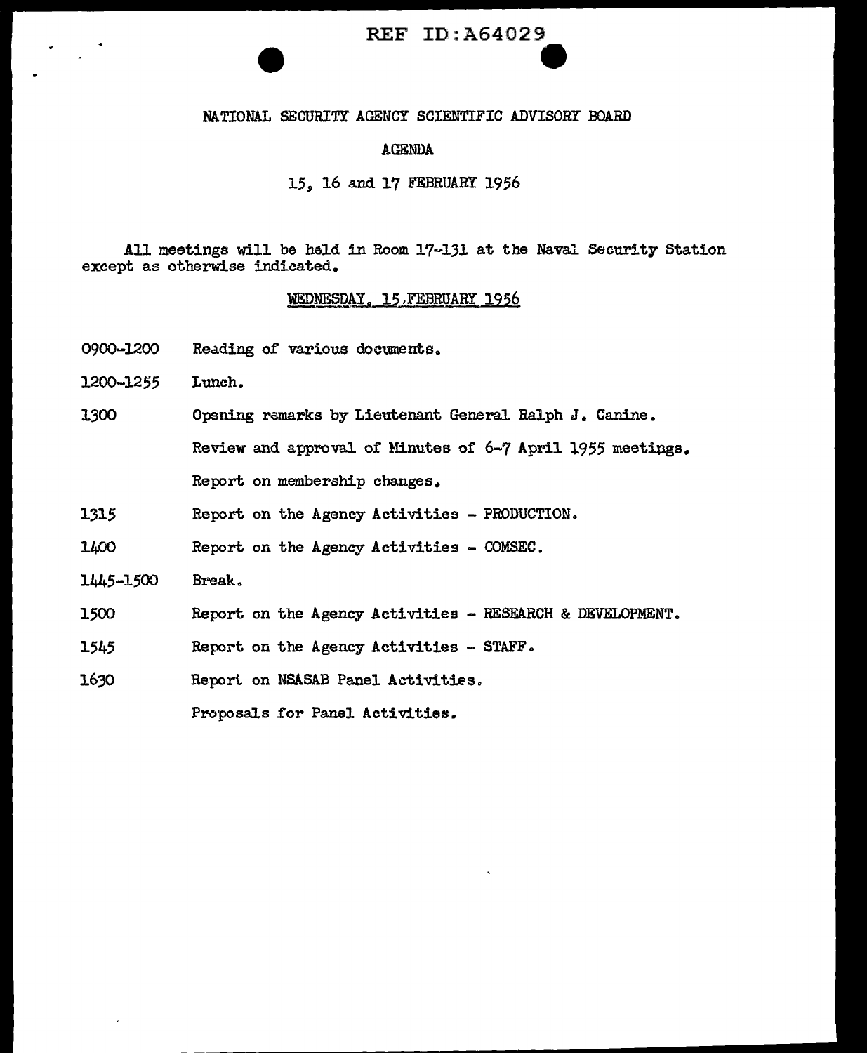# REF ID:A64029 e<br>-<br>-

#### NATIONAL SECURITY AGEHCY SCIENTIFIC ADVISORY BOARD

#### AGENDA

#### J.5, 16 and 17 FEBRUARY 1956

All meetings will be hald in Room 17-131 at the Naval Security Station except as otherwise indicated.

#### WEDNESDAY. 15 FEBRUARY 1956

- 0900~1200 Reading of various doctunents.
- 1200-1255 Lunch.

1300 Opening remarks by Lieutenant General Ralph J. Canine.

Review and approval of Minutes of 6-7 April 1955 meetings.

Report on membership changes.

1315 Report on the Agency Activities - PRODUCTION.

1400 Report on the Agency Activities - COMSEC.

- 1445-1500 Break.
- 1500 Report on the Agency Activities - RESEARCH & DEVELOPMENT.
- 1545 Report on the Agency Activities - STAFF.
- 1630 Report on NSASAB Panel Activities.

Proposals for Panel Activities.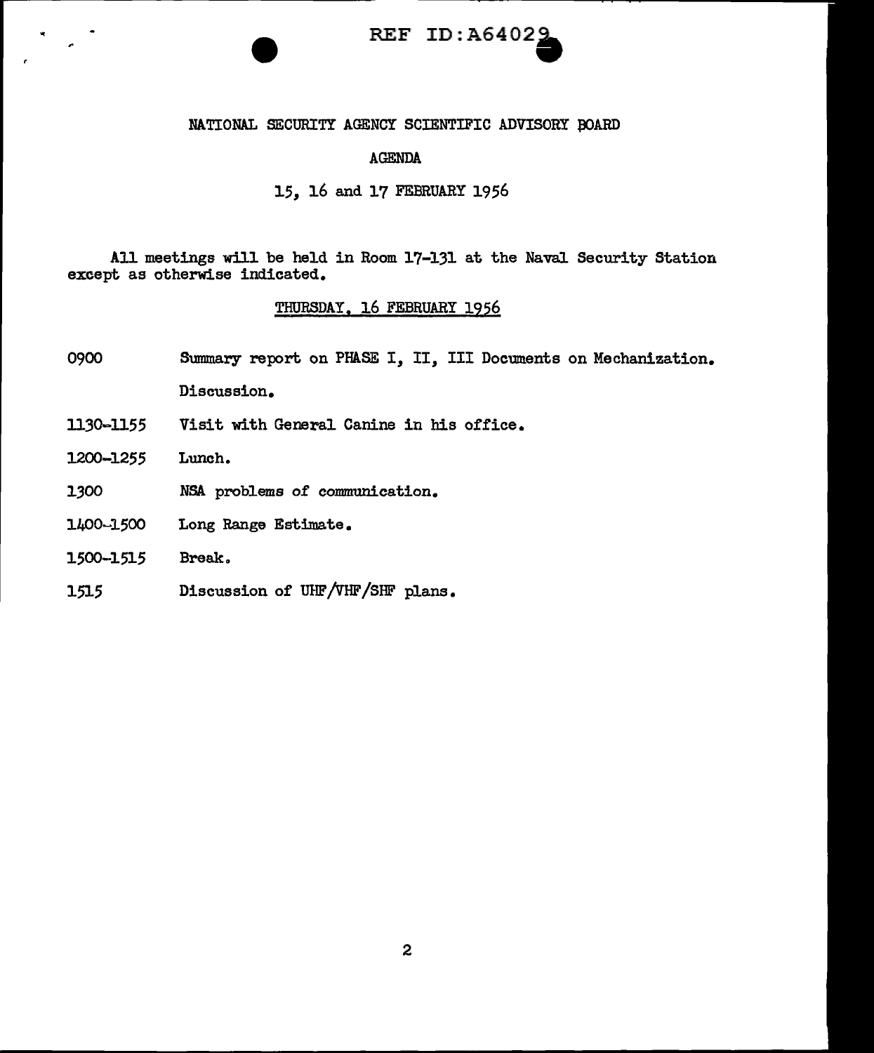

#### NATIONAL SECURITY AGENCY SCIENTIFIC ADVISORY BOARD

#### AGENDA

#### 15, 16 and 17 FEBRUARY 1956

All meetings will be held in Room 17-131 at the Naval Security Station except as otherwise indicated.

#### THURSDAY, 16 FEBRUARY 1956

- 0900 Summary report on PHASE I, II, III Documents on Mechanization. Discussion.
- 1130-1155 Visit with General Canine in his office.
- 1200-1255 Lunch.
- 1.300 NSA problems of communication.
- 1400~1500 Long Range Estimate.
- 1500-1515 Break.
- 1515 Discussion of UHF/vHF/SHF plans.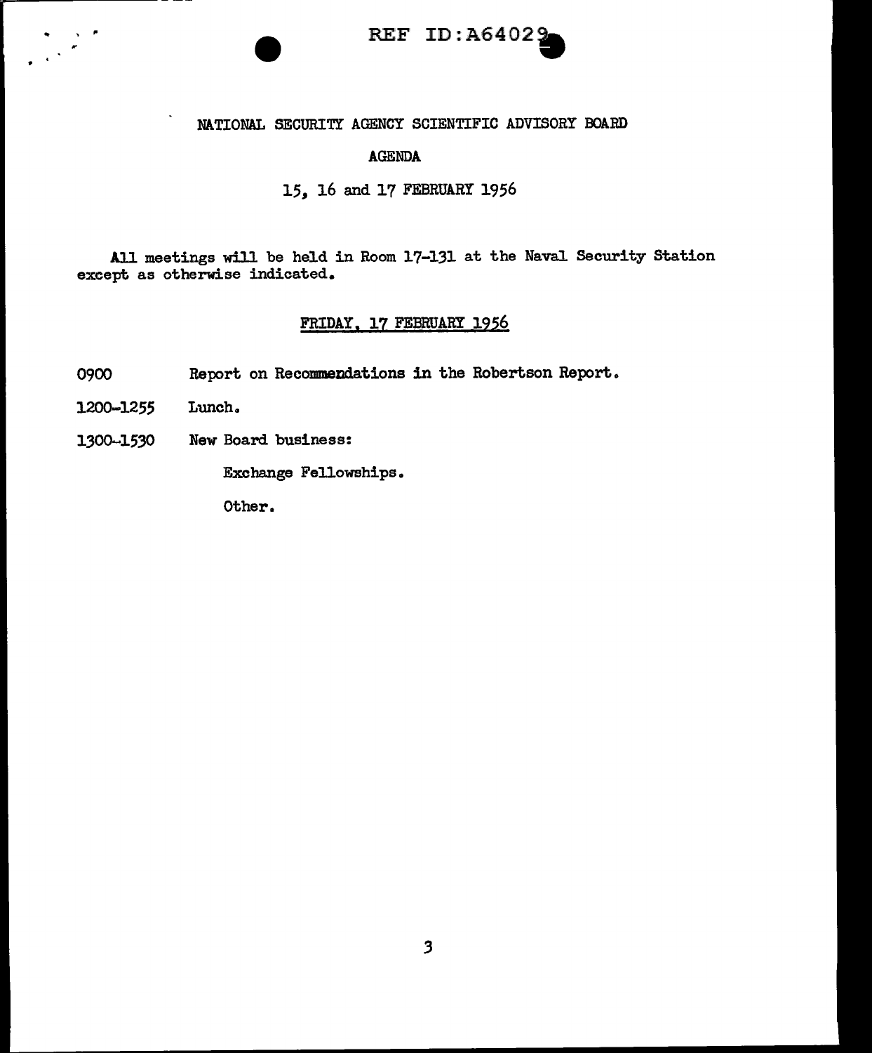

#### NATIONAL SECURITY AGENCY SCIENTIFIC ADVISORY BOARD

#### AGENDA

#### 15, 16 and 17 FEBRUARY 1956

All meetings will be held in Room 17-131 at the Naval Security Station except as otherwise indicated.

#### FRIDAY, 17 FEBRUARY 1956

- 0900 Report on Recommendations in the Robertson Report.
- 1200-1255 Lunch.

•

 $\Delta \sim 20$ 

1300-1530 New Board business:

Exchange Fellowships.

Other.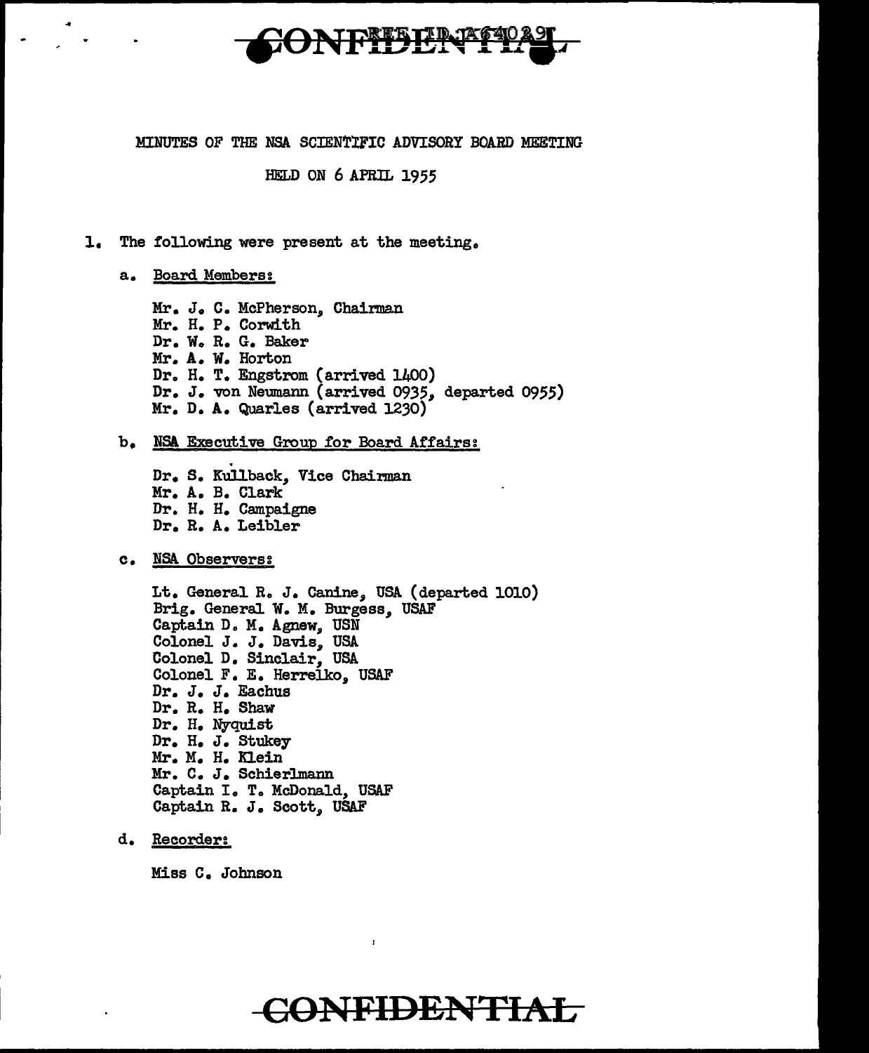

#### MINUTES OF THE NSA SCIENTIFIC ADVISORY BOARD MEETING

#### HELD ON 6 APRIL 1955

l, The following were present at the meeting,

a. Board Members:

Mr. J. C. McPherson, Chairman Mr. H. P. Corwith Dr. W. R. G. Baker Mr. A. w. Horton Dr. H. T. Engstrom (arrived 1400) Dr. J. von Neumann (arrived 0935, departed 0955) Mr. D. A. Quarles (arrived 1230)

#### b. NSA. Executive Group for Board Affairs:

. Dr. s. Kullback, Vice Chairman Mr. A. B. Clark Dr. H. H. Campaigne Dr. R. A. Leibler

c. NSA. Observers:

Lt. General R. J. Canine, USA (departed 1010) Brig. General W. M. Burgess, USAF Captain D. M. Agnew, USN Colonel J. J. Davis, USA Colonel D. Sinclair, USA Colonel F. E. Herrelko, USAF Dr. J. J. Eachus Dr. R. H. Shaw Dr. H. Nyquist Dr. H, J. Stukey Mr. M. H. Klein Mr. C. J. Schierlmann Captain I. T, McDonald, USAF Captain R. J, Scott, USAF

d. Recorder:

Miss C. Johnson

### **CONFIDENTIAL**

 $\mathbf{r}$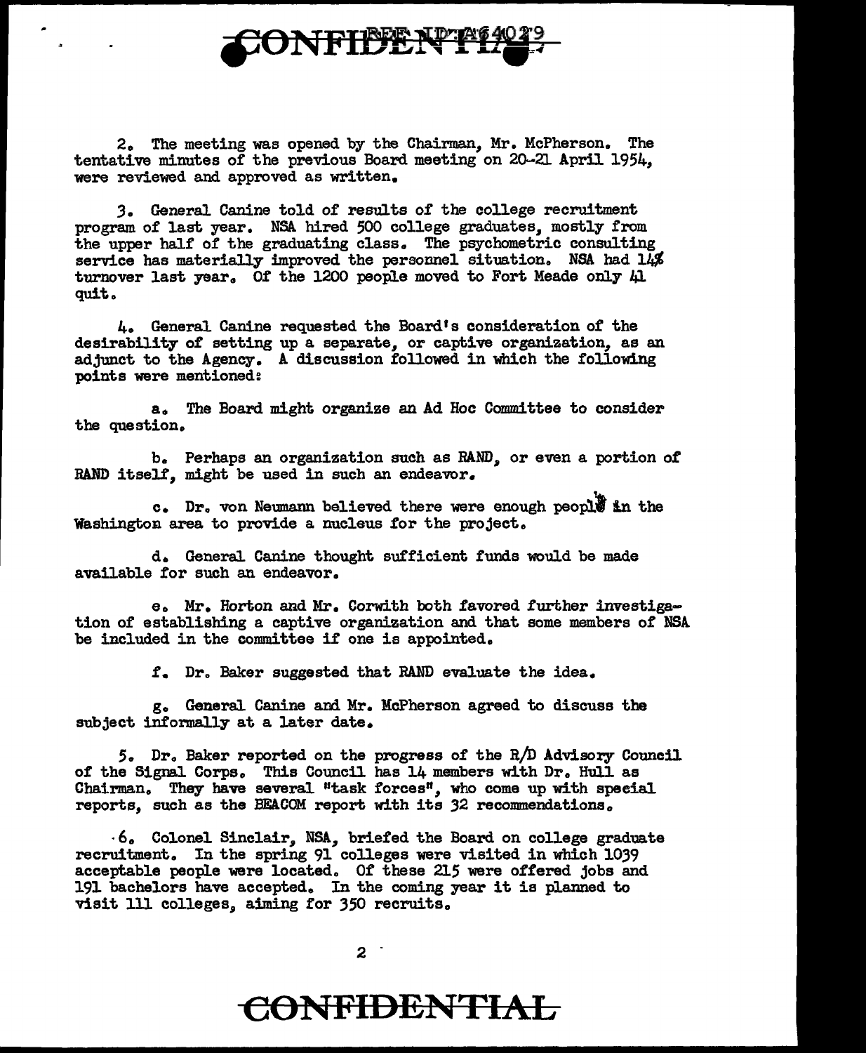

2. The meeting was opened by the Chairman, Mr. McPherson. The tentative minutes of the previous Board meeting on 20.-21 April 1954,, were reviewed and approved as written.

*3.* General Canine told of results of the college recruitment program of last year. NSA hired 500 college graduates, mostly from the upper half of the graduating class. The psychometric consulting service has materially improved the personnel situation. NSA had  $1\overline{\mu}$ turnover last year. Of the 1200 people moved to Fort Meade only Al quit ..

4o General Canine requested the Board's consideration of the desirability of setting up a separate, or captive organization, as an adjunct to the Agency. A discussion followed in which the following points were mentioned:

a. The Board might organize an Ad Hoc Committee to consider the question.

b. Perhaps an organization such as RAND, or even a portion of RAND itself, might be used in such an endeavor.

c. Dr. von Neumann believed there were enough people in the Washington area to provide a nucleus for the project.

d. General Canine thought sufficient funds would be made available for such an endeavor.

e. Mr. Horton and Mr. Corwith both favored further investigation of' establishing a captive organization and that some members of NSA be included in the committee if one is appointed.

*:t.* Dro Baker suggested that RAND evaluate the idea.

g. Genera1 Canine and Mr. McPherson agreed to discuss the subject informally at a later date.

5. Dr. Baker reported on the progress of the R/D Advisory Council of the Signal Corps. This Council has 14 members with Dr. Hull as Chairman. They have several "task forces", who come up with special reports, such as the BEACOM report with its 32 recommendations.

· 6. Colonel Sinclair, NSA,, briefed the Board on college graduate recruitment. In the spring 91 colleges were visited in which 1039 acceptable people were located. Of these 215 were offered jobs and 191 bachelors have accepted. In the coming year it is planned to visit 111 colleges, aiming for 350 recruits.

 $2<sup>1</sup>$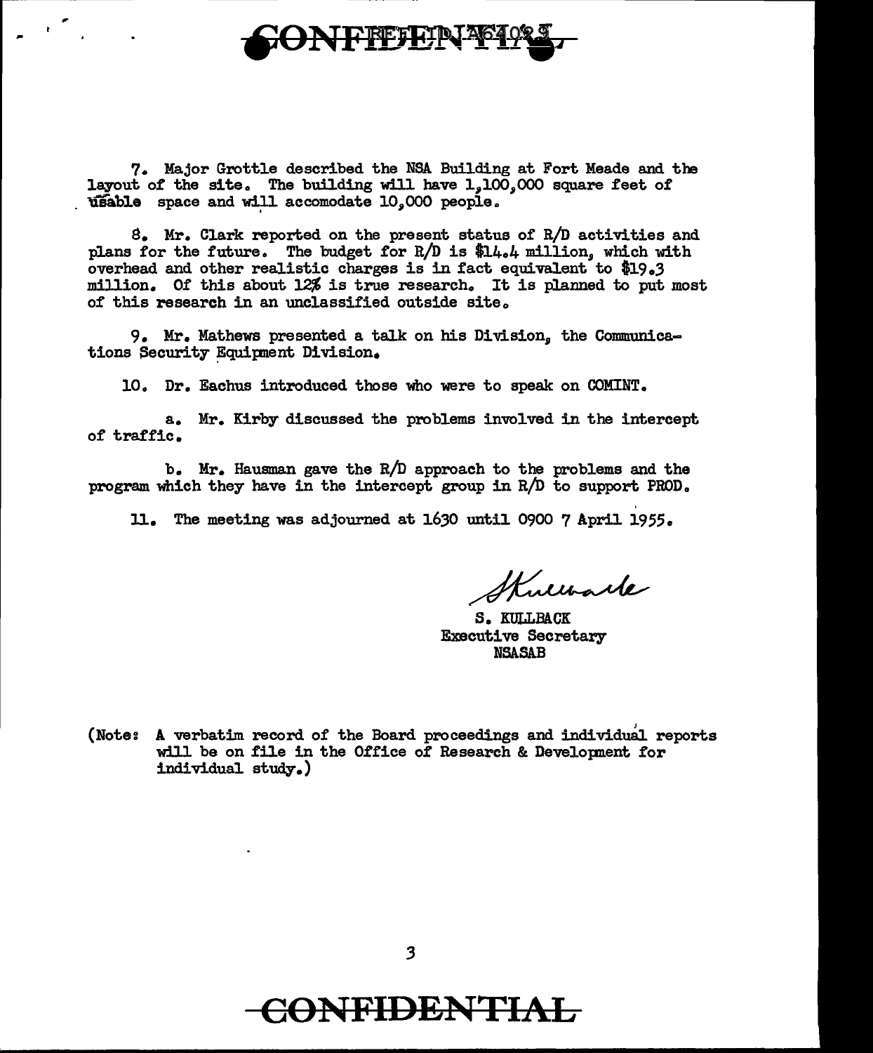

7. Major Grottle described the NSA Building at Fort Meade and the layout of the site. The building will have  $1,100,000$  square feet of  $u$ sable space and will accomodate  $10,000$  people.

 $8.$  Mr. Clark reported on the present status of R/D activities and plans for the future. The budget for R/D is \$14.4 million, which with overhead and other realistic charges is in fact equivalent to \$19.3 million. Of this about 12% is true research. It is planned to put most of this research in an unclassified outside site.

9. Mr. Mathews presented a talk on his Division, the Communications Security Equipment Division.

10. Dr. Eachus introduced those who were to speak on COMINT.

a. Mr. Kirby discussed the problems involved in the intercept of traffic.

b. Mr. Hausman gave the R/D approach to the problems and the program which they have in the intercept group in R/D to support PROD.

ll. The meeting was adjourned at 1630 until 0900 7 April 1955.

Kullbark

S. KULLBACK Executive Secretary NSASAB

(Note: A verbatim record of the Board proceedings and individual reports will be on file in the Office of Research & Development for individual study.)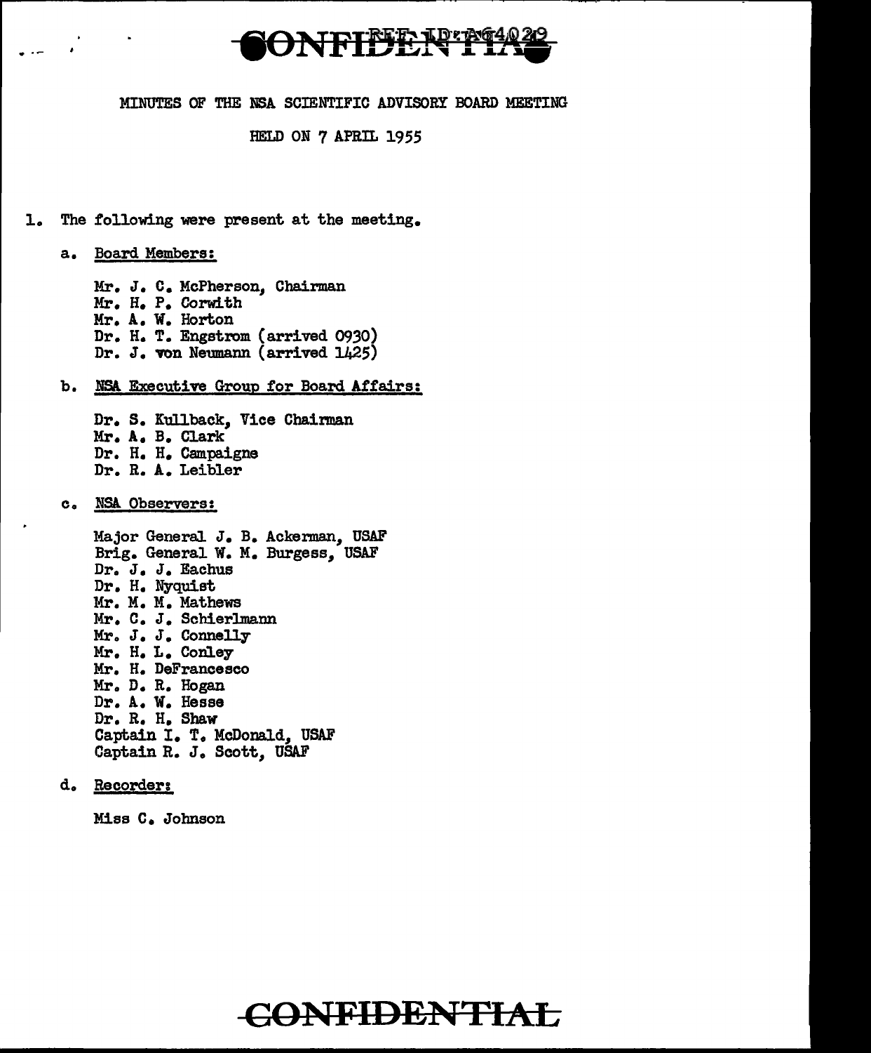

#### MINUTES OF THE NSA SCIENTIFIC ADVISORY BOARD MEETING

HELD ON 7 APRil. 1955

1. The following were present at the meeting.

a. Board Members:

. ·-

Mr. J. C. McPherson, Chairman Mr. H. P. Corwith Mr. A.. W. Horton Dr. H. T. Engstrom (arrived 0930) Dr. J. von Neumann (arrived 1425)

b. NSA Executive Group for Board Affairs:

Dr. S. Kullback, Vice Chairman Mr. A. B. Clark Dr. H. H. Campaigne Dr. R. A. Leibler

c. NSA. Observers:

Major GeneraJ. J. B. Ackerman, USAF Brig. General W. M. Burgess, USAF Dr. J. J. Eachus Dr. H. Nyquist Mr. M. M. Mathews Mr. c. J. Schierlmann Mr. J. J. Connelly Mr. H. L. Conley Mr. H. DeFrancesco Mr. D. R. Hogan Dr. A. W. Hesse Dr. R. H. Shaw Captain I. T. McDonald, USAF Captain R. J. Scott, USAF

d. Recorder:

Miss c. Johnson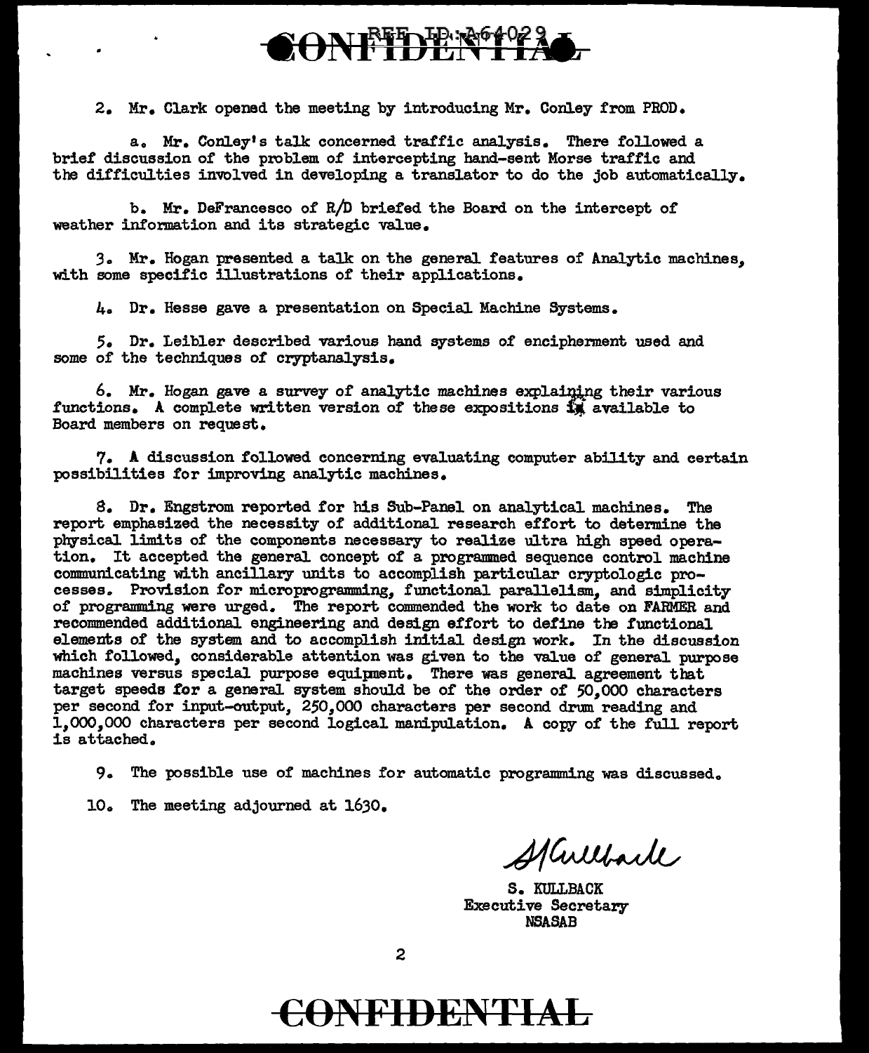## ONETDER 1

2. Mr. Clark opened the meeting by introducing Mr. Conley from PROD.

a. Mr. Conley's talk concerned traffic analysis. There followed a brief discussion of the problem of intercepting hand-sent Morse traffic and the difficulties involved in developing a translator to do the job automatically.

b. Mr. DeFrancesco of R/D briefed the Board on the intercept of weather information and its strategic value.

3. Mr. Hogan presented a talk on the general features of Analytic machines, with some specific illustrations of their applications.

4. Dr. Hesse gave a presentation on Special Machine Systems.

5. Dr. Leibler described various hand systems of encipherment used and some of the techniques of cryptanalysis.

 $6.$  Mr. Hogan gave a survey of analytic machines explaining their various functions. A complete written version of these expositions  $\tilde{M}$  available to Board members on request.

7. A discussion followed concerning evaluating computer ability and certain possibilities for improving analytic machines.

s. Dr. Engstrom reported for his Sub-Panel on analytical machines. The report emphasized the necessity of additional research effort to determine the physical limits of the components necessary to realize ultra high speed operation. It accepted the general concept of a programmed sequence control machine communicating with ancillary units to accomplish particular cryptologic processes. Provision for microprogramming, functional parallelism, and simplicity of programming were urged. The report commended the work to date on FARMER and recommended additional engineering and design effort to define the functional elements of the system and to accomplish initial design work. In the discussion which followed, considerable attention was given to the value of general purpose machines versus special purpose equipnent. There was general agreement that target speeds tor a generaJ. system should be 0£ the order of *50,000* characters per second for input-output, 250,000 characters per second drum reading and 1.000.000 characters per second logical manipulation. A copy of the full report is attached.

9. The possible use of machines for automatic programming was discussed.

10. The meeting adjourned at 1630.

Harlack

S. KULLBACK Executive Secretary NSASAB

2